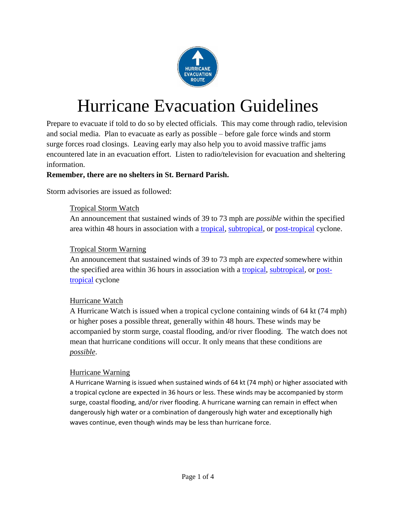

## Hurricane Evacuation Guidelines

Prepare to evacuate if told to do so by elected officials. This may come through radio, television and social media. Plan to evacuate as early as possible – before gale force winds and storm surge forces road closings. Leaving early may also help you to avoid massive traffic jams encountered late in an evacuation effort. Listen to radio/television for evacuation and sheltering information.

#### **Remember, there are no shelters in St. Bernard Parish.**

Storm advisories are issued as followed:

#### Tropical Storm Watch

An announcement that sustained winds of 39 to 73 mph are *possible* within the specified area within 48 hours in association with a [tropical,](http://www.nhc.noaa.gov/aboutgloss.shtml#TROPCYC) [subtropical,](http://www.nhc.noaa.gov/aboutgloss.shtml#SUBCYC) or [post-tropical](http://www.nhc.noaa.gov/aboutgloss.shtml#PTC) cyclone.

#### Tropical Storm Warning

An announcement that sustained winds of 39 to 73 mph are *expected* somewhere within the specified area within 36 hours in association with a [tropical,](http://www.nhc.noaa.gov/aboutgloss.shtml#TROPCYC) [subtropical,](http://www.nhc.noaa.gov/aboutgloss.shtml#SUBCYC) or [post](http://www.nhc.noaa.gov/aboutgloss.shtml#PTC)[tropical](http://www.nhc.noaa.gov/aboutgloss.shtml#PTC) cyclone

#### Hurricane Watch

A Hurricane Watch is issued when a tropical cyclone containing winds of 64 kt (74 mph) or higher poses a possible threat, generally within 48 hours. These winds may be accompanied by storm surge, coastal flooding, and/or river flooding. The watch does not mean that hurricane conditions will occur. It only means that these conditions are *possible*.

#### Hurricane Warning

A Hurricane Warning is issued when sustained winds of 64 kt (74 mph) or higher associated with a tropical cyclone are expected in 36 hours or less. These winds may be accompanied by storm surge, coastal flooding, and/or river flooding. A hurricane warning can remain in effect when dangerously high water or a combination of dangerously high water and exceptionally high waves continue, even though winds may be less than hurricane force.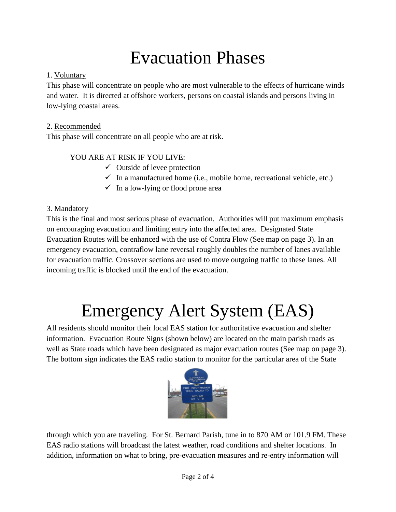### Evacuation Phases

#### 1. Voluntary

This phase will concentrate on people who are most vulnerable to the effects of hurricane winds and water. It is directed at offshore workers, persons on coastal islands and persons living in low-lying coastal areas.

#### 2. Recommended

This phase will concentrate on all people who are at risk.

#### YOU ARE AT RISK IF YOU LIVE:

- $\checkmark$  Outside of levee protection
- $\checkmark$  In a manufactured home (i.e., mobile home, recreational vehicle, etc.)
- $\checkmark$  In a low-lying or flood prone area

#### 3. Mandatory

This is the final and most serious phase of evacuation. Authorities will put maximum emphasis on encouraging evacuation and limiting entry into the affected area. Designated State Evacuation Routes will be enhanced with the use of Contra Flow (See map on page 3). In an emergency evacuation, contraflow lane reversal roughly doubles the number of lanes available for evacuation traffic. Crossover sections are used to move outgoing traffic to these lanes. All incoming traffic is blocked until the end of the evacuation.

## Emergency Alert System (EAS)

All residents should monitor their local EAS station for authoritative evacuation and shelter information. Evacuation Route Signs (shown below) are located on the main parish roads as well as State roads which have been designated as major evacuation routes (See map on page 3). The bottom sign indicates the EAS radio station to monitor for the particular area of the State



through which you are traveling. For St. Bernard Parish, tune in to 870 AM or 101.9 FM. These EAS radio stations will broadcast the latest weather, road conditions and shelter locations. In addition, information on what to bring, pre-evacuation measures and re-entry information will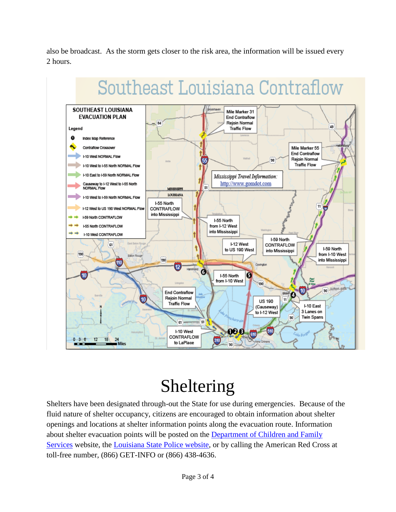also be broadcast. As the storm gets closer to the risk area, the information will be issued every 2 hours.



# Southeast Louisiana Contraflow

## Sheltering

Shelters have been designated through-out the State for use during emergencies. Because of the fluid nature of shelter occupancy, citizens are encouraged to obtain information about shelter openings and locations at shelter information points along the evacuation route. Information about shelter evacuation points will be posted on the [Department of Children and Family](http://www.dss.louisiana.gov/)  [Services](http://www.dss.louisiana.gov/) website, the [Louisiana State Police website,](http://www.lsp.org/) or by calling the American Red Cross at toll-free number, (866) GET-INFO or (866) 438-4636.